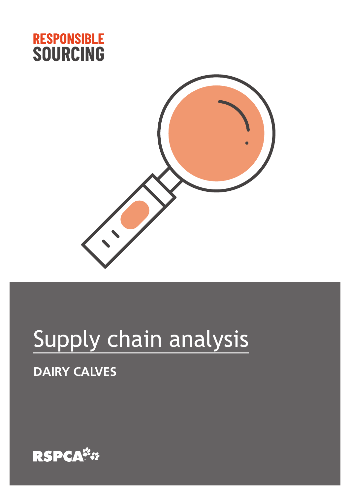



# Supply chain analysis

## **DAIRY CALVES**